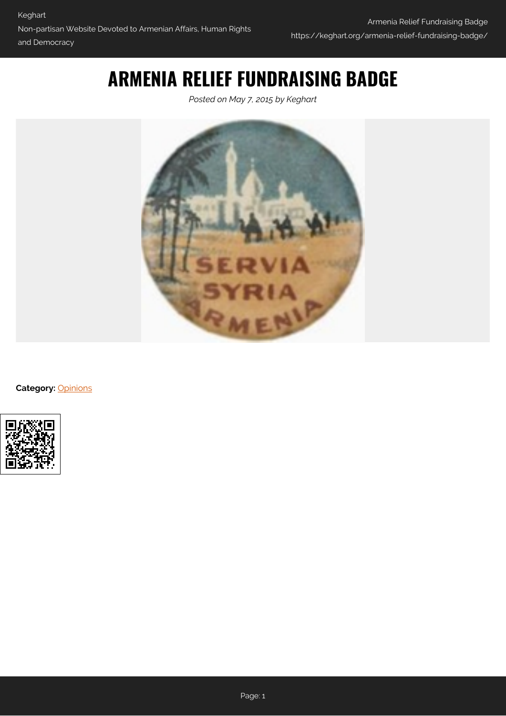## **ARMENIA RELIEF FUNDRAISING BADGE**

*Posted on May 7, 2015 by Keghart*



**Category:** [Opinions](https://keghart.org/category/opinions/)

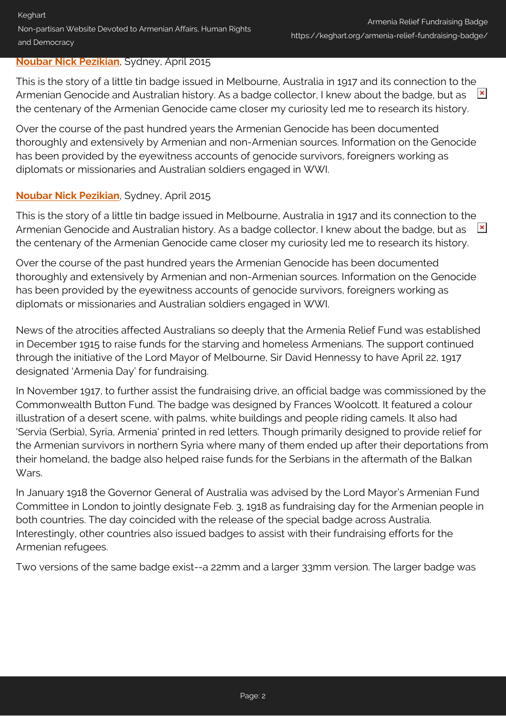## **[Noubar Nick Pezikian](#page-2-0)**, Sydney, April 2015

This is the story of a little tin badge issued in Melbourne, Australia in 1917 and its connection to the Armenian Genocide and Australian history. As a badge collector, I knew about the badge, but as  $\mathbf{x}$ the centenary of the Armenian Genocide came closer my curiosity led me to research its history.

Over the course of the past hundred years the Armenian Genocide has been documented thoroughly and extensively by Armenian and non-Armenian sources. Information on the Genocide has been provided by the eyewitness accounts of genocide survivors, foreigners working as diplomats or missionaries and Australian soldiers engaged in WWI.

## **[Noubar Nick Pezikian](#page-2-0)**, Sydney, April 2015

This is the story of a little tin badge issued in Melbourne, Australia in 1917 and its connection to the Armenian Genocide and Australian history. As a badge collector, I knew about the badge, but as  $\mathbf{R}$ the centenary of the Armenian Genocide came closer my curiosity led me to research its history.

Over the course of the past hundred years the Armenian Genocide has been documented thoroughly and extensively by Armenian and non-Armenian sources. Information on the Genocide has been provided by the eyewitness accounts of genocide survivors, foreigners working as diplomats or missionaries and Australian soldiers engaged in WWI.

News of the atrocities affected Australians so deeply that the Armenia Relief Fund was established in December 1915 to raise funds for the starving and homeless Armenians. The support continued through the initiative of the Lord Mayor of Melbourne, Sir David Hennessy to have April 22, 1917 designated 'Armenia Day' for fundraising.

In November 1917, to further assist the fundraising drive, an official badge was commissioned by the Commonwealth Button Fund. The badge was designed by Frances Woolcott. It featured a colour illustration of a desert scene, with palms, white buildings and people riding camels. It also had 'Servia (Serbia), Syria, Armenia' printed in red letters. Though primarily designed to provide relief for the Armenian survivors in northern Syria where many of them ended up after their deportations from their homeland, the badge also helped raise funds for the Serbians in the aftermath of the Balkan Wars.

In January 1918 the Governor General of Australia was advised by the Lord Mayor's Armenian Fund Committee in London to jointly designate Feb. 3, 1918 as fundraising day for the Armenian people in both countries. The day coincided with the release of the special badge across Australia. Interestingly, other countries also issued badges to assist with their fundraising efforts for the Armenian refugees.

Two versions of the same badge exist--a 22mm and a larger 33mm version. The larger badge was